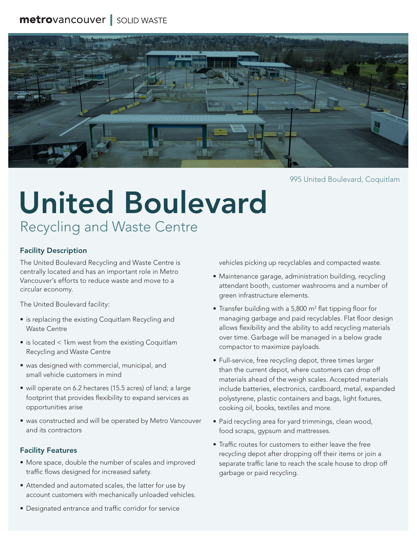# metrovancouver | SOLID WASTE



995 United Boulevard, Coquitlam

# Recycling and Waste Centre United Boulevard

#### Facility Description

The United Boulevard Recycling and Waste Centre is centrally located and has an important role in Metro Vancouver's efforts to reduce waste and move to a circular economy.

The United Boulevard facility:

- is replacing the existing Coquitlam Recycling and Waste Centre
- is located < 1km west from the existing Coquitlam Recycling and Waste Centre
- was designed with commercial, municipal, and small vehicle customers in mind
- will operate on 6.2 hectares (15.5 acres) of land; a large footprint that provides flexibility to expand services as opportunities arise
- was constructed and will be operated by Metro Vancouver and its contractors

#### Facility Features

- More space, double the number of scales and improved traffic flows designed for increased safety.
- Attended and automated scales, the latter for use by account customers with mechanically unloaded vehicles.

vehicles picking up recyclables and compacted waste.

- Maintenance garage, administration building, recycling attendant booth, customer washrooms and a number of green infrastructure elements.
- Transfer building with a 5,800 m<sup>2</sup> flat tipping floor for managing garbage and paid recyclables. Flat floor design allows flexibility and the ability to add recycling materials over time. Garbage will be managed in a below grade compactor to maximize payloads.
- Full-service, free recycling depot, three times larger than the current depot, where customers can drop off materials ahead of the weigh scales. Accepted materials include batteries, electronics, cardboard, metal, expanded polystyrene, plastic containers and bags, light fixtures, cooking oil, books, textiles and more.
- Paid recycling area for yard trimmings, clean wood, food scraps, gypsum and mattresses.
- Traffic routes for customers to either leave the free recycling depot after dropping off their items or join a separate traffic lane to reach the scale house to drop off garbage or paid recycling.
- Designated entrance and traffic corridor for service